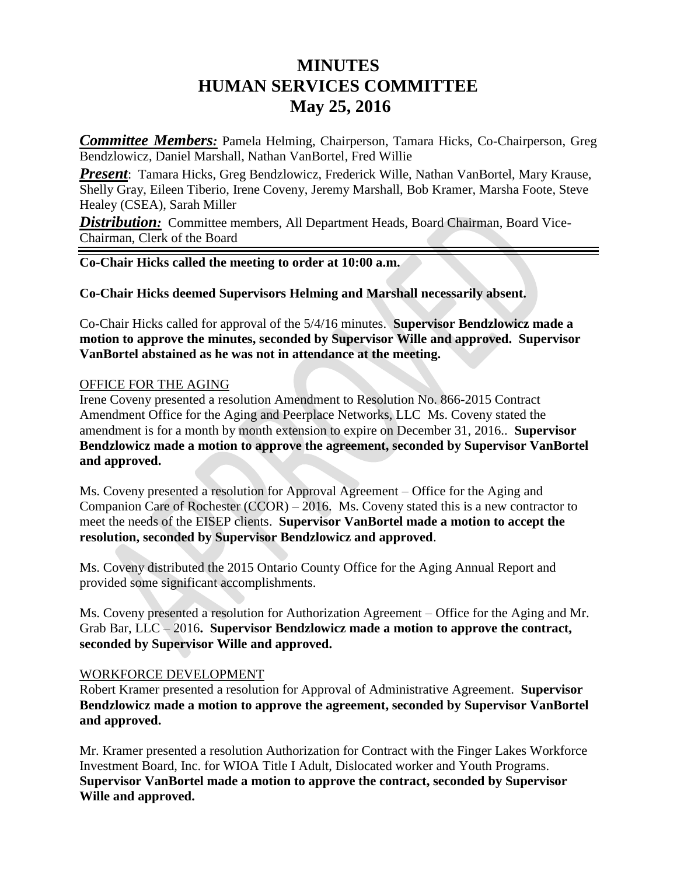## **MINUTES HUMAN SERVICES COMMITTEE May 25, 2016**

*Committee Members:* Pamela Helming, Chairperson, Tamara Hicks, Co-Chairperson, Greg Bendzlowicz, Daniel Marshall, Nathan VanBortel, Fred Willie

*Present*: Tamara Hicks, Greg Bendzlowicz, Frederick Wille, Nathan VanBortel, Mary Krause, Shelly Gray, Eileen Tiberio, Irene Coveny, Jeremy Marshall, Bob Kramer, Marsha Foote, Steve Healey (CSEA), Sarah Miller

**Distribution:** Committee members, All Department Heads, Board Chairman, Board Vice-Chairman, Clerk of the Board

**Co-Chair Hicks called the meeting to order at 10:00 a.m.** 

**Co-Chair Hicks deemed Supervisors Helming and Marshall necessarily absent.**

Co-Chair Hicks called for approval of the 5/4/16 minutes. **Supervisor Bendzlowicz made a motion to approve the minutes, seconded by Supervisor Wille and approved. Supervisor VanBortel abstained as he was not in attendance at the meeting.**

## OFFICE FOR THE AGING

Irene Coveny presented a resolution Amendment to Resolution No. 866-2015 Contract Amendment Office for the Aging and Peerplace Networks, LLC Ms. Coveny stated the amendment is for a month by month extension to expire on December 31, 2016.. **Supervisor Bendzlowicz made a motion to approve the agreement, seconded by Supervisor VanBortel and approved.**

Ms. Coveny presented a resolution for Approval Agreement – Office for the Aging and Companion Care of Rochester (CCOR) – 2016. Ms. Coveny stated this is a new contractor to meet the needs of the EISEP clients. **Supervisor VanBortel made a motion to accept the resolution, seconded by Supervisor Bendzlowicz and approved**.

Ms. Coveny distributed the 2015 Ontario County Office for the Aging Annual Report and provided some significant accomplishments.

Ms. Coveny presented a resolution for Authorization Agreement – Office for the Aging and Mr. Grab Bar, LLC – 2016**. Supervisor Bendzlowicz made a motion to approve the contract, seconded by Supervisor Wille and approved.**

## WORKFORCE DEVELOPMENT

Robert Kramer presented a resolution for Approval of Administrative Agreement. **Supervisor Bendzlowicz made a motion to approve the agreement, seconded by Supervisor VanBortel and approved.**

Mr. Kramer presented a resolution Authorization for Contract with the Finger Lakes Workforce Investment Board, Inc. for WIOA Title I Adult, Dislocated worker and Youth Programs. **Supervisor VanBortel made a motion to approve the contract, seconded by Supervisor Wille and approved.**